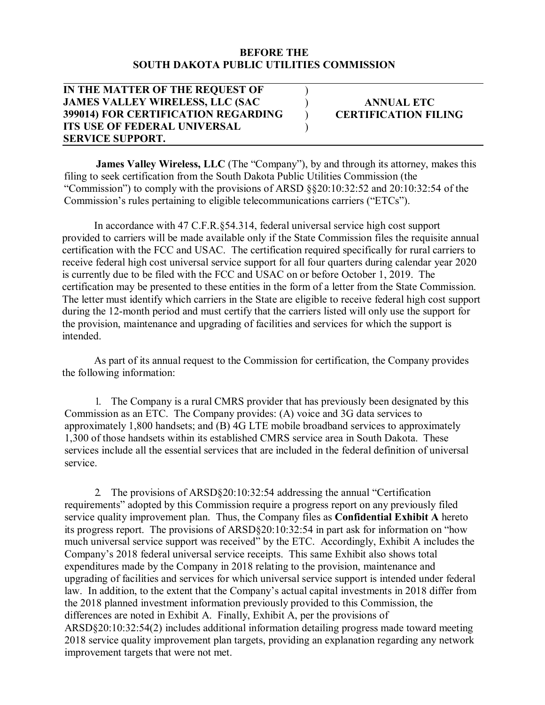## **BEFORE THE SOUTH DAKOTA PUBLIC UTILITIES COMMISSION**

) ) ) )

**IN THE MATTER OF THE REQUEST OF JAMES VALLEY WIRELESS, LLC (SAC 399014) FOR CERTIFICATION REGARDING ITS USE OF FEDERAL UNIVERSAL SERVICE SUPPORT.** 

## **ANNUAL ETC CERTIFICATION FILING**

**James Valley Wireless, LLC** (The "Company"), by and through its attorney, makes this filing to seek certification from the South Dakota Public Utilities Commission (the "Commission") to comply with the provisions of ARSD §§20:10:32:52 and 20:10:32:54 of the Commission's rules pertaining to eligible telecommunications carriers ("ETCs").

In accordance with 47 C.F.R.§54.314, federal universal service high cost support provided to carriers will be made available only if the State Commission files the requisite annual certification with the FCC and USAC. The certification required specifically for rural carriers to receive federal high cost universal service support for all four quarters during calendar year 2020 is currently due to be filed with the FCC and USAC on or before October 1, 2019. The certification may be presented to these entities in the form of a letter from the State Commission. The letter must identify which carriers in the State are eligible to receive federal high cost support during the 12-month period and must certify that the carriers listed will only use the support for the provision, maintenance and upgrading of facilities and services for which the support is intended.

As part of its annual request to the Commission for certification, the Company provides the following information:

1. The Company is a rural CMRS provider that has previously been designated by this Commission as an ETC. The Company provides: (A) voice and 3G data services to approximately 1,800 handsets; and (B) 4G LTE mobile broadband services to approximately 1,300 of those handsets within its established CMRS service area in South Dakota. These services include all the essential services that are included in the federal definition of universal service.

2. The provisions of ARSD§20:10:32:54 addressing the annual "Certification requirements" adopted by this Commission require a progress report on any previously filed service quality improvement plan. Thus, the Company files as **Confidential Exhibit A** hereto its progress report. The provisions of ARSD§20:10:32:54 in part ask for information on "how much universal service support was received" by the ETC. Accordingly, Exhibit A includes the Company's 2018 federal universal service receipts. This same Exhibit also shows total expenditures made by the Company in 2018 relating to the provision, maintenance and upgrading of facilities and services for which universal service support is intended under federal law. In addition, to the extent that the Company's actual capital investments in 2018 differ from the 2018 planned investment information previously provided to this Commission, the differences are noted in Exhibit A. Finally, Exhibit A, per the provisions of ARSD§20:10:32:54(2) includes additional information detailing progress made toward meeting 2018 service quality improvement plan targets, providing an explanation regarding any network improvement targets that were not met.